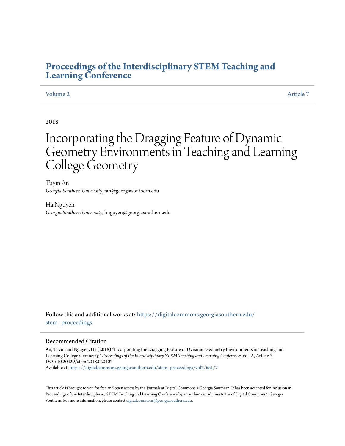# **[Proceedings of the Interdisciplinary STEM Teaching and](https://digitalcommons.georgiasouthern.edu/stem_proceedings?utm_source=digitalcommons.georgiasouthern.edu%2Fstem_proceedings%2Fvol2%2Fiss1%2F7&utm_medium=PDF&utm_campaign=PDFCoverPages) [Learning Conference](https://digitalcommons.georgiasouthern.edu/stem_proceedings?utm_source=digitalcommons.georgiasouthern.edu%2Fstem_proceedings%2Fvol2%2Fiss1%2F7&utm_medium=PDF&utm_campaign=PDFCoverPages)**

# [Volume 2](https://digitalcommons.georgiasouthern.edu/stem_proceedings/vol2?utm_source=digitalcommons.georgiasouthern.edu%2Fstem_proceedings%2Fvol2%2Fiss1%2F7&utm_medium=PDF&utm_campaign=PDFCoverPages) [Article 7](https://digitalcommons.georgiasouthern.edu/stem_proceedings/vol2/iss1/7?utm_source=digitalcommons.georgiasouthern.edu%2Fstem_proceedings%2Fvol2%2Fiss1%2F7&utm_medium=PDF&utm_campaign=PDFCoverPages)

# 2018

# Incorporating the Dragging Feature of Dynamic Geometry Environments in Teaching and Learning College Geometry

Tuyin An *Georgia Southern University*, tan@georgiasouthern.edu

Ha Nguyen *Georgia Southern University*, hnguyen@georgiasouthern.edu

Follow this and additional works at: [https://digitalcommons.georgiasouthern.edu/](https://digitalcommons.georgiasouthern.edu/stem_proceedings?utm_source=digitalcommons.georgiasouthern.edu%2Fstem_proceedings%2Fvol2%2Fiss1%2F7&utm_medium=PDF&utm_campaign=PDFCoverPages) stem proceedings

### Recommended Citation

An, Tuyin and Nguyen, Ha (2018) "Incorporating the Dragging Feature of Dynamic Geometry Environments in Teaching and Learning College Geometry," *Proceedings of the Interdisciplinary STEM Teaching and Learning Conference*: Vol. 2 , Article 7. DOI: 10.20429/stem.2018.020107 Available at: [https://digitalcommons.georgiasouthern.edu/stem\\_proceedings/vol2/iss1/7](https://digitalcommons.georgiasouthern.edu/stem_proceedings/vol2/iss1/7?utm_source=digitalcommons.georgiasouthern.edu%2Fstem_proceedings%2Fvol2%2Fiss1%2F7&utm_medium=PDF&utm_campaign=PDFCoverPages)

This article is brought to you for free and open access by the Journals at Digital Commons@Georgia Southern. It has been accepted for inclusion in Proceedings of the Interdisciplinary STEM Teaching and Learning Conference by an authorized administrator of Digital Commons@Georgia Southern. For more information, please contact [digitalcommons@georgiasouthern.edu.](mailto:digitalcommons@georgiasouthern.edu)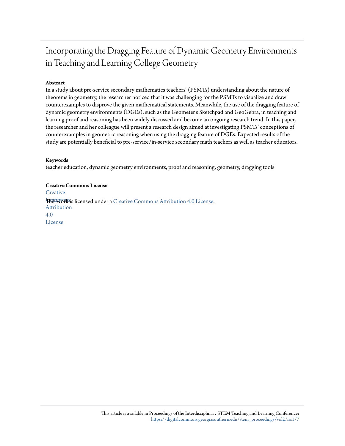# Incorporating the Dragging Feature of Dynamic Geometry Environments in Teaching and Learning College Geometry

# **Abstract**

In a study about pre-service secondary mathematics teachers' (PSMTs) understanding about the nature of theorems in geometry, the researcher noticed that it was challenging for the PSMTs to visualize and draw counterexamples to disprove the given mathematical statements. Meanwhile, the use of the dragging feature of dynamic geometry environments (DGEs), such as the Geometer's Sketchpad and GeoGebra, in teaching and learning proof and reasoning has been widely discussed and become an ongoing research trend. In this paper, the researcher and her colleague will present a research design aimed at investigating PSMTs' conceptions of counterexamples in geometric reasoning when using the dragging feature of DGEs. Expected results of the study are potentially beneficial to pre-service/in-service secondary math teachers as well as teacher educators.

### **Keywords**

teacher education, dynamic geometry environments, proof and reasoning, geometry, dragging tools

### **Creative Commons License**

**[Creative](http://creativecommons.org/licenses/by/4.0/) This work is licensed under a** [Creative Commons Attribution 4.0 License.](http://creativecommons.org/licenses/by/4.0/) Attribution 4.0 License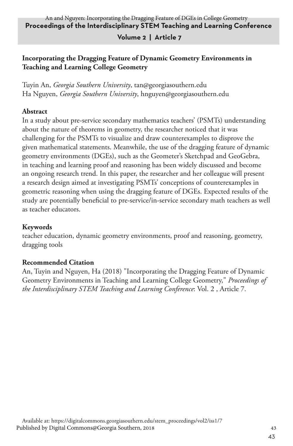### **Proceedings of the Interdisciplinary STEM Teaching and Learning Conference** An and Nguyen: Incorporating the Dragging Feature of DGEs in College Geometry

## **Volume 2 | Article 7**

# **Incorporating the Dragging Feature of Dynamic Geometry Environments in Teaching and Learning College Geometry**

Tuyin An, *Georgia Southern University*, tan@georgiasouthern.edu Ha Nguyen, *Georgia Southern University*, hnguyen@georgiasouthern.edu

## **Abstract**

In a study about pre-service secondary mathematics teachers' (PSMTs) understanding about the nature of theorems in geometry, the researcher noticed that it was challenging for the PSMTs to visualize and draw counterexamples to disprove the given mathematical statements. Meanwhile, the use of the dragging feature of dynamic geometry environments (DGEs), such as the Geometer's Sketchpad and GeoGebra, in teaching and learning proof and reasoning has been widely discussed and become an ongoing research trend. In this paper, the researcher and her colleague will present a research design aimed at investigating PSMTs' conceptions of counterexamples in geometric reasoning when using the dragging feature of DGEs. Expected results of the study are potentially beneficial to pre-service/in-service secondary math teachers as well as teacher educators.

### **Keywords**

teacher education, dynamic geometry environments, proof and reasoning, geometry, dragging tools

# **Recommended Citation**

An, Tuyin and Nguyen, Ha (2018) "Incorporating the Dragging Feature of Dynamic Geometry Environments in Teaching and Learning College Geometry," *Proceedings of the Interdisciplinary STEM Teaching and Learning Conference*: Vol. 2 , Article 7.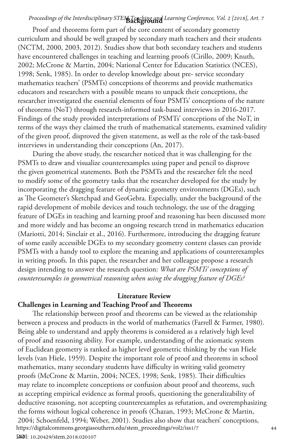# Proceedings of the Interdisciplinary STEM Teaching and Learning Conference, Vol. 2 [2018], Art. 7

Proof and theorems form part of the core content of secondary geometry curriculum and should be well grasped by secondary math teachers and their students (NCTM, 2000, 2003, 2012). Studies show that both secondary teachers and students have encountered challenges in teaching and learning proofs (Cirillo, 2009; Knuth, 2002; McCrone & Martin, 2004; National Center for Education Statistics (NCES), 1998; Senk, 1985). In order to develop knowledge about pre- service secondary mathematics teachers' (PSMTs) conceptions of theorems and provide mathematics educators and researchers with a possible means to unpack their conceptions, the researcher investigated the essential elements of four PSMTs' conceptions of the nature of theorems (NoT) through research-informed task-based interviews in 2016-2017. Findings of the study provided interpretations of PSMTs' conceptions of the NoT, in terms of the ways they claimed the truth of mathematical statements, examined validity of the given proof, disproved the given statement, as well as the role of the task-based interviews in understanding their conceptions (An, 2017).

During the above study, the researcher noticed that it was challenging for the PSMTs to draw and visualize counterexamples using paper and pencil to disprove the given geometrical statements. Both the PSMTs and the researcher felt the need to modify some of the geometry tasks that the researcher developed for the study by incorporating the dragging feature of dynamic geometry environments (DGEs), such as The Geometer's Sketchpad and GeoGebra. Especially, under the background of the rapid development of mobile devices and touch technology, the use of the dragging feature of DGEs in teaching and learning proof and reasoning has been discussed more and more widely and has become an ongoing research trend in mathematics education (Mariotti, 2014; Sinclair et al., 2016). Furthermore, introducing the dragging feature of some easily accessible DGEs to my secondary geometry content classes can provide PSMTs with a handy tool to explore the meaning and applications of counterexamples in writing proofs. In this paper, the researcher and her colleague propose a research design intending to answer the research question: *What are PSMTs' conceptions of counterexamples in geometrical reasoning when using the dragging feature of DGEs?*

### **Literature Review**

### **Challenges in Learning and Teaching Proof and Theorems**

The relationship between proof and theorems can be viewed as the relationship between a process and products in the world of mathematics (Farrell & Farmer, 1980). Being able to understand and apply theorems is considered as a relatively high level of proof and reasoning ability. For example, understanding of the axiomatic system of Euclidean geometry is ranked as higher level geometric thinking by the van Hiele levels (van Hiele, 1959). Despite the important role of proof and theorems in school mathematics, many secondary students have difficulty in writing valid geometry proofs (McCrone & Martin, 2004; NCES, 1998; Senk, 1985). Their difficulties may relate to incomplete conceptions or confusion about proof and theorems, such as accepting empirical evidence as formal proofs, questioning the generalizability of deductive reasoning, not accepting counterexamples as refutation, and overemphasizing the forms without logical coherence in proofs (Chazan, 1993; McCrone & Martin, 2004; Schoenfeld, 1994; Weber, 2001). Studies also show that teachers' conceptions,<br>https://digitalcommons.georgiasouthern.edu/stem\_proceedings/vol2/iss1/7 https://digitalcommons.georgiasouthern.edu/stem\_proceedings/vol2/iss1/7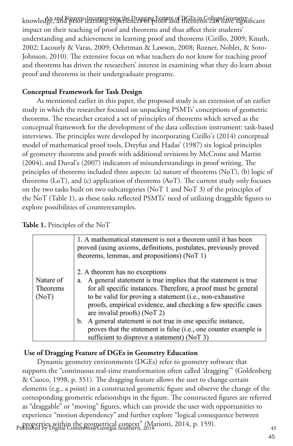knowledge, and Nguyen: Lacorporating the Dragging Feature of DGEs in College Geometry.<br>Knowledge, and Nguyen: Lacorporating the Dragging Feature of DGEs in College Geometry.incant impact on their teaching of proof and theorems and thus affect their students' understanding and achievement in learning proof and theorems (Cirillo, 2009; Knuth, 2002; Lacourly & Varas, 2009; Oehrtman & Lawson, 2008; Rozner, Noblet, & Soto-Johnson, 2010). The extensive focus on what teachers do not know for teaching proof and theorems has driven the researchers' interest in examining what they do learn about proof and theorems in their undergraduate programs.

# **Conceptual Framework for Task Design**

As mentioned earlier in this paper, the proposed study is an extension of an earlier study in which the researcher focused on unpacking PSMTs' conceptions of geometric theorems. The researcher created a set of principles of theorems which served as the conceptual framework for the development of the data collection instrument: task-based interviews. The principles were developed by incorporating Cirillo's (2014) conceptual model of mathematical proof tools, Dreyfus and Hadas' (1987) six logical principles of geometry theorems and proofs with additional revisions by McCrone and Martin (2004), and Duval's (2007) indicators of misunderstandings in proof writing. The principles of theorems included three aspects: (a) nature of theorems (NoT), (b) logic of theorems (LoT), and (c) application of theorems (AoT). The current study only focuses on the two tasks built on two subcategories (NoT 1 and NoT 3) of the principles of the NoT (Table 1), as these tasks reflected PSMTs' need of utilizing draggable figures to explore possibilities of counterexamples.

# **Table 1.** Principles of the NoT

|                                | 1. A mathematical statement is not a theorem until it has been<br>proved (using axioms, definitions, postulates, previously proved<br>theorems, lemmas, and propositions) (NoT 1)                                                                                                                                                                                                                                                                                                                                           |
|--------------------------------|-----------------------------------------------------------------------------------------------------------------------------------------------------------------------------------------------------------------------------------------------------------------------------------------------------------------------------------------------------------------------------------------------------------------------------------------------------------------------------------------------------------------------------|
| Nature of<br>Theorems<br>(NoT) | 2. A theorem has no exceptions<br>A general statement is true implies that the statement is true<br>a.<br>for all specific instances. Therefore, a proof must be general<br>to be valid for proving a statement (i.e., non-exhaustive<br>proofs, empirical evidence, and checking a few specific cases<br>are invalid proofs) (NoT 2)<br>A general statement is not true in one specific instance,<br>b.<br>proves that the statement is false (i.e., one counter example is<br>sufficient to disprove a statement) (NoT 3) |

# **Use of Dragging Feature of DGEs in Geometry Education**

Dynamic geometry environments (DGEs) refer to geometry software that supports the "continuous real-time transformation often called 'dragging'" (Goldenberg & Cuoco, 1998, p. 351). The dragging feature allows the user to change certain elements (e.g., a point) in a constructed geometric figure and observe the change of the corresponding geometric relationships in the figure. The constructed figures are referred as "draggable" or "moving" figures, which can provide the user with opportunities to experience "motion dependency" and further explore "logical consequence between properties within the geometrical context" (Mariotti, 2014, p. 159). 45 Published by Digital Commons@Georgia Southern, 2018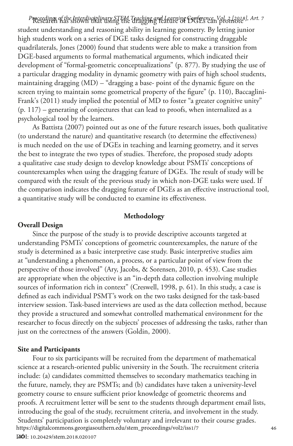Research has shown that using the dragging feature of DGEs can promote *Proceedings of the Interdisciplinary STEM Teaching and Learning Conference, Vol. 2 [2018], Art. 7* student understanding and reasoning ability in learning geometry. By letting junior high students work on a series of DGE tasks designed for constructing draggable quadrilaterals, Jones (2000) found that students were able to make a transition from DGE-based arguments to formal mathematical arguments, which indicated their development of "formal-geometric conceptualizations" (p. 877). By studying the use of a particular dragging modality in dynamic geometry with pairs of high school students, maintaining dragging (MD) – "dragging a base- point of the dynamic figure on the screen trying to maintain some geometrical property of the figure" (p. 110), Baccaglini-Frank's (2011) study implied the potential of MD to foster "a greater cognitive unity" (p. 117) – generating of conjectures that can lead to proofs, when internalized as a psychological tool by the learners.

As Battista (2007) pointed out as one of the future research issues, both qualitative (to understand the nature) and quantitative research (to determine the effectiveness) is much needed on the use of DGEs in teaching and learning geometry, and it serves the best to integrate the two types of studies. Therefore, the proposed study adopts a qualitative case study design to develop knowledge about PSMTs' conceptions of counterexamples when using the dragging feature of DGEs. The result of study will be compared with the result of the previous study in which non-DGE tasks were used. If the comparison indicates the dragging feature of DGEs as an effective instructional tool, a quantitative study will be conducted to examine its effectiveness.

#### **Methodology**

#### **Overall Design**

Since the purpose of the study is to provide descriptive accounts targeted at understanding PSMTs' conceptions of geometric counterexamples, the nature of the study is determined as a basic interpretive case study. Basic interpretive studies aim at "understanding a phenomenon, a process, or a particular point of view from the perspective of those involved" (Ary, Jacobs, & Sorensen, 2010, p. 453). Case studies are appropriate when the objective is an "in-depth data collection involving multiple sources of information rich in context" (Creswell, 1998, p. 61). In this study, a case is defined as each individual PSMT's work on the two tasks designed for the task-based interview session. Task-based interviews are used as the data collection method, because they provide a structured and somewhat controlled mathematical environment for the researcher to focus directly on the subjects' processes of addressing the tasks, rather than just on the correctness of the answers (Goldin, 2000).

#### **Site and Participants**

Four to six participants will be recruited from the department of mathematical science at a research-oriented public university in the South. The recruitment criteria include: (a) candidates committed themselves to secondary mathematics teaching in the future, namely, they are PSMTs; and (b) candidates have taken a university-level geometry course to ensure sufficient prior knowledge of geometric theorems and proofs. A recruitment letter will be sent to the students through department email lists, introducing the goal of the study, recruitment criteria, and involvement in the study. Students' participation is completely voluntary and irrelevant to their course grades. <sup>46</sup> https://digitalcommons.georgiasouthern.edu/stem\_proceedings/vol2/iss1/7

46 DOI: 10.20429/stem.2018.020107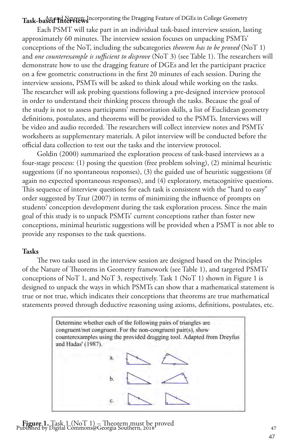# Task-based Interviews<sup>Incorporating the Dragging Feature of DGEs in College Geometry</sup>

Each PSMT will take part in an individual task-based interview session, lasting approximately 60 minutes. The interview session focuses on unpacking PSMTs' conceptions of the NoT, including the subcategories *theorem has to be proved* (NoT 1) and *one counterexample is sufficient to disprove* (NoT 3) (see Table 1). The researchers will demonstrate how to use the dragging feature of DGEs and let the participant practice on a few geometric constructions in the first 20 minutes of each session. During the interview sessions, PSMTs will be asked to think aloud while working on the tasks. The researcher will ask probing questions following a pre-designed interview protocol in order to understand their thinking process through the tasks. Because the goal of the study is not to assess participants' memorization skills, a list of Euclidean geometry definitions, postulates, and theorems will be provided to the PSMTs. Interviews will be video and audio recorded. The researchers will collect interview notes and PSMTs' worksheets as supplementary materials. A pilot interview will be conducted before the official data collection to test out the tasks and the interview protocol.

Goldin (2000) summarized the exploration process of task-based interviews as a four-stage process: (1) posing the question (free problem solving), (2) minimal heuristic suggestions (if no spontaneous responses), (3) the guided use of heuristic suggestions (if again no expected spontaneous responses), and (4) exploratory, metacognitive questions. This sequence of interview questions for each task is consistent with the "hard to easy" order suggested by Tzur (2007) in terms of minimizing the influence of prompts on students' conception development during the task exploration process. Since the main goal of this study is to unpack PSMTs' current conceptions rather than foster new conceptions, minimal heuristic suggestions will be provided when a PSMT is not able to provide any responses to the task questions.

### **Tasks**

The two tasks used in the interview session are designed based on the Principles of the Nature of Theorems in Geometry framework (see Table 1), and targeted PSMTs' conceptions of NoT 1, and NoT 3, respectively. Task 1 (NoT 1) shown in Figure 1 is designed to unpack the ways in which PSMTs can show that a mathematical statement is true or not true, which indicates their conceptions that theorems are true mathematical statements proved through deductive reasoning using axioms, definitions, postulates, etc.



**Figure 1.** Task 1 (NoT 1) – Theorem must be proved <sup>47</sup> Published by Digital Commons@Georgia Southern, 2018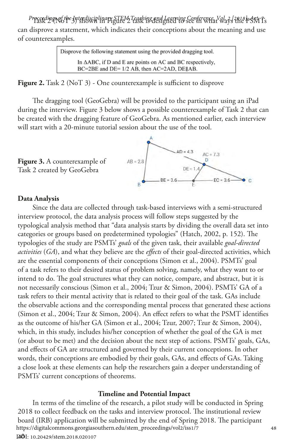Proceedings of the Interdisciplinary STEM Teaching and Learning *See*rference, Vol. 2, Jane b SNt Ts can disprove a statement, which indicates their conceptions about the meaning and use of counterexamples.

| Disprove the following statement using the provided dragging tool.                                                                 |  |
|------------------------------------------------------------------------------------------------------------------------------------|--|
| In $\triangle$ ABC, if D and E are points on AC and BC respectively.<br>$BC = 2BE$ and $DE = 1/2$ AB, then $AC = 2AD$ , $DE  AB$ . |  |

**Figure 2.** Task 2 (NoT 3) - One counterexample is sufficient to disprove

The dragging tool (GeoGebra) will be provided to the participant using an iPad during the interview. Figure 3 below shows a possible counterexample of Task 2 that can be created with the dragging feature of GeoGebra. As mentioned earlier, each interview will start with a 20-minute tutorial session about the use of the tool.



### **Data Analysis**

**Figure 3.** A counterexample of Task 2 created by GeoGebra

Since the data are collected through task-based interviews with a semi-structured interview protocol, the data analysis process will follow steps suggested by the typological analysis method that "data analysis starts by dividing the overall data set into categories or groups based on predetermined typologies" (Hatch, 2002, p. 152). The typologies of the study are PSMTs' *goals* of the given task, their available *goal-directed activities* (*GA*), and what they believe are the *effects* of their goal-directed activities, which are the essential components of their conceptions (Simon et al., 2004). PSMTs' goal of a task refers to their desired status of problem solving, namely, what they want to or intend to do. The goal structures what they can notice, compare, and abstract, but it is not necessarily conscious (Simon et al., 2004; Tzur & Simon, 2004). PSMTs' GA of a task refers to their mental activity that is related to their goal of the task. GAs include the observable actions and the corresponding mental process that generated these actions (Simon et al., 2004; Tzur & Simon, 2004). An effect refers to what the PSMT identifies as the outcome of his/her GA (Simon et al., 2004; Tzur, 2007; Tzur & Simon, 2004), which, in this study, includes his/her conception of whether the goal of the GA is met (or about to be met) and the decision about the next step of actions. PSMTs' goals, GAs, and effects of GA are structured and governed by their current conceptions. In other words, their conceptions are embodied by their goals, GAs, and effects of GAs. Taking a close look at these elements can help the researchers gain a deeper understanding of PSMTs' current conceptions of theorems.

### **Timeline and Potential Impact**

48 DOI: 10.20429/stem.2018.020107In terms of the timeline of the research, a pilot study will be conducted in Spring 2018 to collect feedback on the tasks and interview protocol. The institutional review board (IRB) application will be submitted by the end of Spring 2018. The participant <sup>48</sup> https://digitalcommons.georgiasouthern.edu/stem\_proceedings/vol2/iss1/7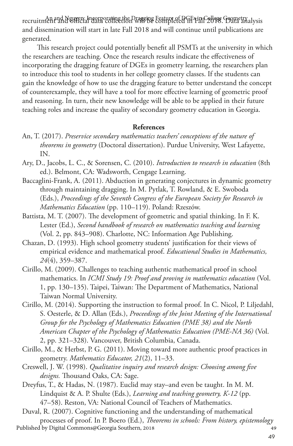recruitment and Nguyen: Inggravening the Dragging Feature of DGE sign College. Gogmetry alysis and dissemination will start in late Fall 2018 and will continue until publications are generated.

This research project could potentially benefit all PSMTs at the university in which the researchers are teaching. Once the research results indicate the effectiveness of incorporating the dragging feature of DGEs in geometry learning, the researchers plan to introduce this tool to students in her college geometry classes. If the students can gain the knowledge of how to use the dragging feature to better understand the concept of counterexample, they will have a tool for more effective learning of geometric proof and reasoning. In turn, their new knowledge will be able to be applied in their future teaching roles and increase the quality of secondary geometry education in Georgia.

### **References**

- An, T. (2017). *Preservice secondary mathematics teachers' conceptions of the nature of theorems in geometry* (Doctoral dissertation). Purdue University, West Lafayette, IN.
- Ary, D., Jacobs, L. C., & Sorensen, C. (2010). *Introduction to research in education* (8th ed.). Belmont, CA: Wadsworth, Cengage Learning.
- Baccaglini-Frank, A. (2011). Abduction in generating conjectures in dynamic geometry through maintaining dragging. In M. Pytlak, T. Rowland, & E. Swoboda (Eds.), *Proceedings of the Seventh Congress of the European Society for Research in Mathematics Education* (pp. 110–119). Poland: Rzeszów.
- Battista, M. T. (2007). The development of geometric and spatial thinking. In F. K. Lester (Ed.), *Second handbook of research on mathematics teaching and learning*  (Vol. 2, pp. 843–908). Charlotte, NC: Information Age Publishing.
- Chazan, D. (1993). High school geometry students' justification for their views of empirical evidence and mathematical proof. *Educational Studies in Mathematics, 24*(4), 359–387.
- Cirillo, M. (2009). Challenges to teaching authentic mathematical proof in school mathematics. In *ICMI Study 19: Proof and proving in mathematics education* (Vol. 1, pp. 130–135). Taipei, Taiwan: The Department of Mathematics, National Taiwan Normal University.
- Cirillo, M. (2014). Supporting the instruction to formal proof. In C. Nicol, P. Liljedahl, S. Oesterle, & D. Allan (Eds.), *Proceedings of the Joint Meeting of the International Group for the Psychology of Mathematics Education (PME 38) and the North American Chapter of the Psychology of Mathematics Education (PME-NA 36)* (Vol. 2, pp. 321–328). Vancouver, British Columbia, Canada.
- Cirillo, M., & Herbst, P. G. (2011). Moving toward more authentic proof practices in geometry. *Mathematics Educator, 21*(2), 11–33.
- Creswell, J. W. (1998). *Qualitative inquiry and research design: Choosing among five designs.* Thousand Oaks, CA: Sage.
- Dreyfus, T., & Hadas, N. (1987). Euclid may stay–and even be taught. In M. M. Lindquist & A. P. Shulte (Eds.), *Learning and teaching geometry, K-12* (pp. 47–58). Reston, VA: National Council of Teachers of Mathematics.
- Duval, R. (2007). Cognitive functioning and the understanding of mathematical processes of proof. In P. Boero (Ed.), *Theorems in schools: From history, epistemology* <sup>49</sup>
- Published by Digital Commons@Georgia Southern, 2018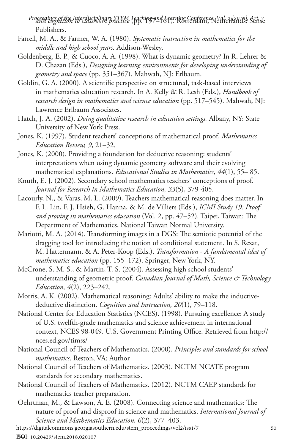*and cognition to classroom practice* (pp. 137–161). Rotterdam, Netherlands: Sense *Proceedings of the Interdisciplinary STEM Teaching and Learning Conference, Vol. 2 [2018], Art. 7* Publishers.

- Farrell, M. A., & Farmer, W. A. (1980). *Systematic instruction in mathematics for the middle and high school years.* Addison-Wesley.
- Goldenberg, E. P., & Cuoco, A. A. (1998). What is dynamic geometry? In R. Lehrer & D. Chazan (Eds.), *Designing learning environments for developing understanding of geometry and space* (pp. 351–367). Mahwah, NJ: Erlbaum.
- Goldin, G. A. (2000). A scientific perspective on structured, task-based interviews in mathematics education research. In A. Kelly & R. Lesh (Eds.), *Handbook of research design in mathematics and science education* (pp. 517–545). Mahwah, NJ: Lawrence Erlbaum Associates.
- Hatch, J. A. (2002). *Doing qualitative research in education settings.* Albany, NY: State University of New York Press.
- Jones, K. (1997). Student teachers' conceptions of mathematical proof. *Mathematics Education Review, 9*, 21–32.
- Jones, K. (2000). Providing a foundation for deductive reasoning: students' interpretations when using dynamic geometry software and their evolving mathematical explanations. *Educational Studies in Mathematics, 44*(1), 55– 85.
- Knuth, E. J. (2002). Secondary school mathematics teachers' conceptions of proof. *Journal for Research in Mathematics Education, 33*(5), 379-405.
- Lacourly, N., & Varas, M. L. (2009). Teachers mathematical reasoning does matter. In F. L. Lin, F. J. Hsieh, G. Hanna, & M. de Villiers (Eds.), *ICMI Study 19: Proof and proving in mathematics education* (Vol. 2, pp. 47–52). Taipei, Taiwan: The Department of Mathematics, National Taiwan Normal University.
- Mariotti, M. A. (2014). Transforming images in a DGS: The semiotic potential of the dragging tool for introducing the notion of conditional statement. In S. Rezat, M. Hattermann, & A. Peter-Koop (Eds.), *Transformation - A fundamental idea of mathematics education* (pp. 155–172). Springer, New York, NY.
- McCrone, S. M. S., & Martin, T. S. (2004). Assessing high school students' understanding of geometric proof. *Canadian Journal of Math, Science & Technology Education, 4*(2), 223–242.
- Morris, A. K. (2002). Mathematical reasoning: Adults' ability to make the inductivedeductive distinction. *Cognition and Instruction, 20*(1), 79–118.
- National Center for Education Statistics (NCES). (1998). Pursuing excellence: A study of U.S. twelfth-grade mathematics and science achievement in international context, NCES 98-049. U.S. Government Printing Office. Retrieved from http:// nces.ed.gov/timss/
- National Council of Teachers of Mathematics. (2000). *Principles and standards for school mathematics*. Reston, VA: Author
- National Council of Teachers of Mathematics. (2003). NCTM NCATE program standards for secondary mathematics.
- National Council of Teachers of Mathematics. (2012). NCTM CAEP standards for mathematics teacher preparation.
- Oehrtman, M., & Lawson, A. E. (2008). Connecting science and mathematics: The nature of proof and disproof in science and mathematics. *International Journal of Science and Mathematics Education, 6*(2), 377–403.<br>https://digitalcommons.georgiasouthern.edu/stem\_proceedings/vol2/iss1/7 50
- 

50 DOI: 10.20429/stem.2018.020107